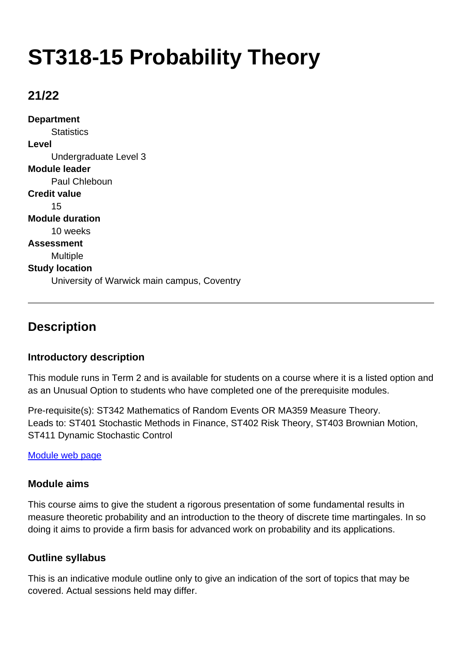# **ST318-15 Probability Theory**

# **21/22**

**Department Statistics Level** Undergraduate Level 3 **Module leader** Paul Chleboun **Credit value** 15 **Module duration** 10 weeks **Assessment** Multiple **Study location** University of Warwick main campus, Coventry

# **Description**

# **Introductory description**

This module runs in Term 2 and is available for students on a course where it is a listed option and as an Unusual Option to students who have completed one of the prerequisite modules.

Pre-requisite(s): ST342 Mathematics of Random Events OR MA359 Measure Theory. Leads to: ST401 Stochastic Methods in Finance, ST402 Risk Theory, ST403 Brownian Motion, ST411 Dynamic Stochastic Control

#### [Module web page](http://go.warwick.ac.uk/ST318)

# **Module aims**

This course aims to give the student a rigorous presentation of some fundamental results in measure theoretic probability and an introduction to the theory of discrete time martingales. In so doing it aims to provide a firm basis for advanced work on probability and its applications.

# **Outline syllabus**

This is an indicative module outline only to give an indication of the sort of topics that may be covered. Actual sessions held may differ.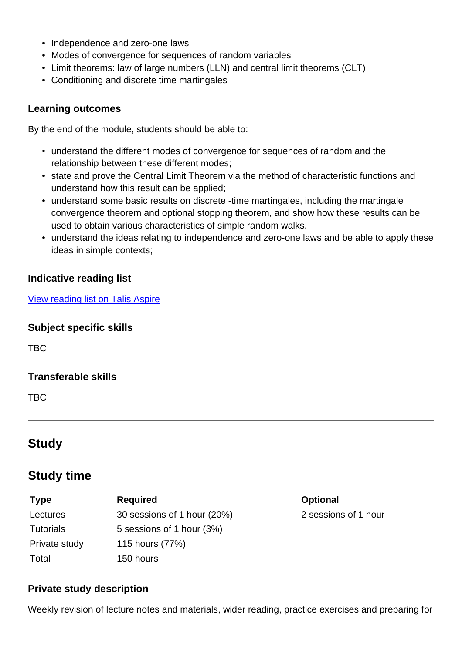- Independence and zero-one laws
- Modes of convergence for sequences of random variables
- Limit theorems: law of large numbers (LLN) and central limit theorems (CLT)
- Conditioning and discrete time martingales

#### **Learning outcomes**

By the end of the module, students should be able to:

- understand the different modes of convergence for sequences of random and the relationship between these different modes;
- state and prove the Central Limit Theorem via the method of characteristic functions and understand how this result can be applied;
- understand some basic results on discrete -time martingales, including the martingale convergence theorem and optional stopping theorem, and show how these results can be used to obtain various characteristics of simple random walks.
- understand the ideas relating to independence and zero-one laws and be able to apply these ideas in simple contexts;

#### **Indicative reading list**

[View reading list on Talis Aspire](http://readinglists.warwick.ac.uk/modules/st318.html)

|  | <b>Subject specific skills</b> |  |
|--|--------------------------------|--|
|  |                                |  |

TBC

#### **Transferable skills**

TBC

# **Study**

# **Study time**

| <b>Type</b>      | <b>Required</b>             |
|------------------|-----------------------------|
| Lectures         | 30 sessions of 1 hour (20%) |
| <b>Tutorials</b> | 5 sessions of 1 hour (3%)   |
| Private study    | 115 hours (77%)             |
| Total            | 150 hours                   |

**Optional** 2 sessions of 1 hour

#### **Private study description**

Weekly revision of lecture notes and materials, wider reading, practice exercises and preparing for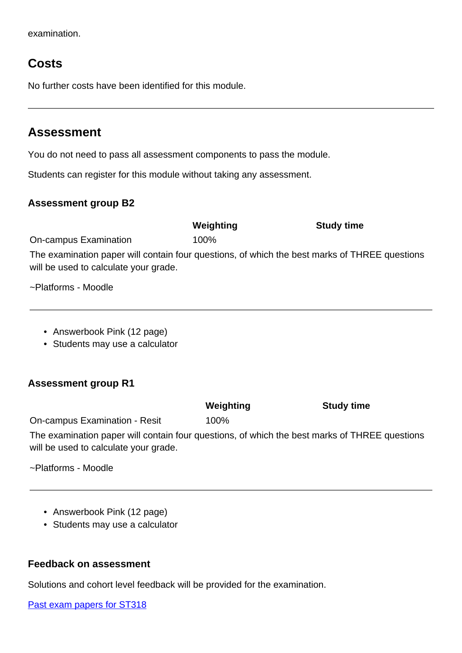| examination. |
|--------------|
|--------------|

# **Costs**

No further costs have been identified for this module.

# **Assessment**

You do not need to pass all assessment components to pass the module.

Students can register for this module without taking any assessment.

### **Assessment group B2**

|                                                                                                                                        | Weighting | <b>Study time</b> |  |  |  |
|----------------------------------------------------------------------------------------------------------------------------------------|-----------|-------------------|--|--|--|
| On-campus Examination                                                                                                                  | 100%      |                   |  |  |  |
| The examination paper will contain four questions, of which the best marks of THREE questions<br>will be used to calculate your grade. |           |                   |  |  |  |
| ~Platforms - Moodle                                                                                                                    |           |                   |  |  |  |
| • Answerbook Pink (12 page)<br>• Students may use a calculator                                                                         |           |                   |  |  |  |

### **Assessment group R1**

**Weighting Study time** On-campus Examination - Resit 100%

The examination paper will contain four questions, of which the best marks of THREE questions will be used to calculate your grade.

~Platforms - Moodle

- Answerbook Pink (12 page)
- Students may use a calculator

#### **Feedback on assessment**

Solutions and cohort level feedback will be provided for the examination.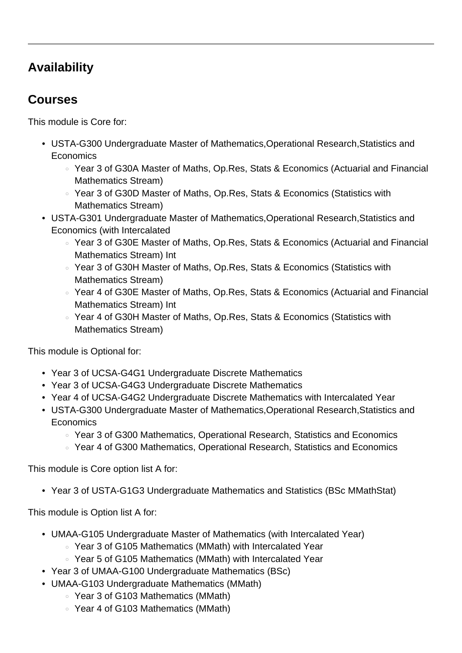# **Availability**

# **Courses**

This module is Core for:

- USTA-G300 Undergraduate Master of Mathematics,Operational Research,Statistics and **Economics** 
	- Year 3 of G30A Master of Maths, Op.Res, Stats & Economics (Actuarial and Financial Mathematics Stream)
	- Year 3 of G30D Master of Maths, Op.Res, Stats & Economics (Statistics with Mathematics Stream)
- USTA-G301 Undergraduate Master of Mathematics,Operational Research,Statistics and Economics (with Intercalated
	- Year 3 of G30E Master of Maths, Op.Res, Stats & Economics (Actuarial and Financial Mathematics Stream) Int
	- Year 3 of G30H Master of Maths, Op.Res, Stats & Economics (Statistics with Mathematics Stream)
	- Year 4 of G30E Master of Maths, Op.Res, Stats & Economics (Actuarial and Financial Mathematics Stream) Int
	- Year 4 of G30H Master of Maths, Op.Res, Stats & Economics (Statistics with Mathematics Stream)

This module is Optional for:

- Year 3 of UCSA-G4G1 Undergraduate Discrete Mathematics
- Year 3 of UCSA-G4G3 Undergraduate Discrete Mathematics
- Year 4 of UCSA-G4G2 Undergraduate Discrete Mathematics with Intercalated Year
- USTA-G300 Undergraduate Master of Mathematics,Operational Research,Statistics and **Economics** 
	- Year 3 of G300 Mathematics, Operational Research, Statistics and Economics
	- Year 4 of G300 Mathematics, Operational Research, Statistics and Economics

This module is Core option list A for:

• Year 3 of USTA-G1G3 Undergraduate Mathematics and Statistics (BSc MMathStat)

This module is Option list A for:

- UMAA-G105 Undergraduate Master of Mathematics (with Intercalated Year)
	- Year 3 of G105 Mathematics (MMath) with Intercalated Year
	- Year 5 of G105 Mathematics (MMath) with Intercalated Year
- Year 3 of UMAA-G100 Undergraduate Mathematics (BSc)
- UMAA-G103 Undergraduate Mathematics (MMath) •
	- Year 3 of G103 Mathematics (MMath)
	- Year 4 of G103 Mathematics (MMath)